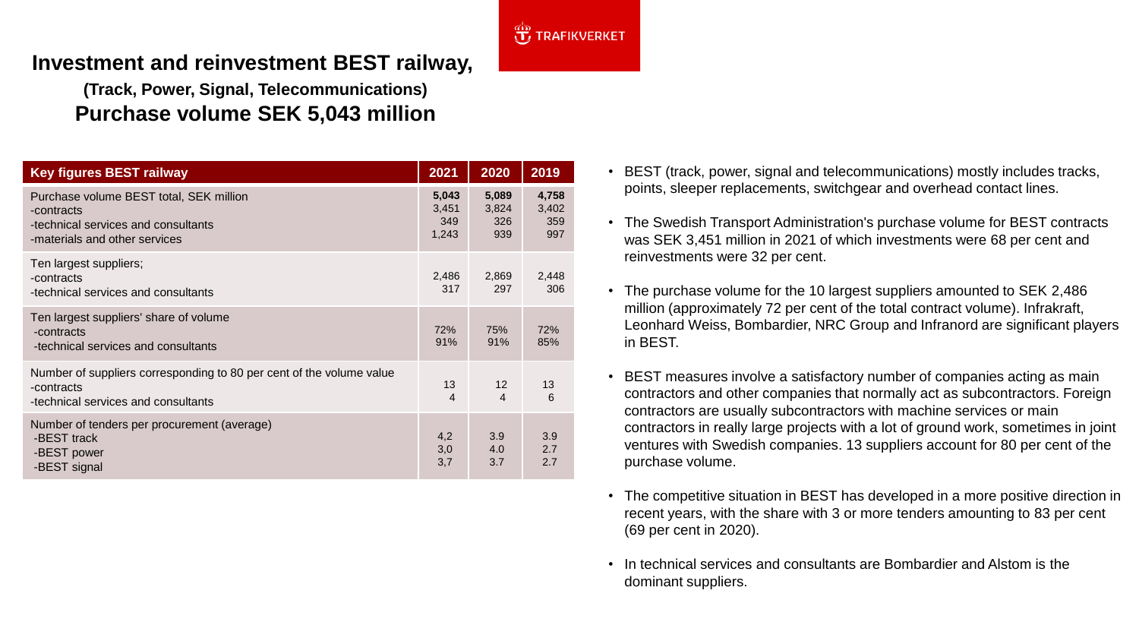

## **Investment and reinvestment BEST railway,**

**(Track, Power, Signal, Telecommunications) Purchase volume SEK 5,043 million**

| <b>Key figures BEST railway</b>                                                                                               | 2021                           | 2020                                | 2019                         |
|-------------------------------------------------------------------------------------------------------------------------------|--------------------------------|-------------------------------------|------------------------------|
| Purchase volume BEST total, SEK million<br>-contracts<br>-technical services and consultants<br>-materials and other services | 5,043<br>3,451<br>349<br>1,243 | 5,089<br>3,824<br>326<br>939        | 4,758<br>3,402<br>359<br>997 |
| Ten largest suppliers;<br>-contracts<br>-technical services and consultants                                                   | 2,486<br>317                   | 2,869<br>297                        | 2,448<br>306                 |
| Ten largest suppliers' share of volume<br>-contracts<br>-technical services and consultants                                   | 72%<br>91%                     | 75%<br>91%                          | 72%<br>85%                   |
| Number of suppliers corresponding to 80 per cent of the volume value<br>-contracts<br>-technical services and consultants     | 13<br>$\overline{4}$           | $12 \overline{ }$<br>$\overline{4}$ | 13<br>6                      |
| Number of tenders per procurement (average)<br>-BEST track<br>-BEST power<br>-BEST signal                                     | 4,2<br>3,0<br>3,7              | 3.9<br>4.0<br>3.7                   | 3.9<br>2.7<br>2.7            |

- BEST (track, power, signal and telecommunications) mostly includes tracks, points, sleeper replacements, switchgear and overhead contact lines.
- The Swedish Transport Administration's purchase volume for BEST contracts was SEK 3,451 million in 2021 of which investments were 68 per cent and reinvestments were 32 per cent.
- The purchase volume for the 10 largest suppliers amounted to SEK 2,486 million (approximately 72 per cent of the total contract volume). Infrakraft, Leonhard Weiss, Bombardier, NRC Group and Infranord are significant players in BEST.
- BEST measures involve a satisfactory number of companies acting as main contractors and other companies that normally act as subcontractors. Foreign contractors are usually subcontractors with machine services or main contractors in really large projects with a lot of ground work, sometimes in joint ventures with Swedish companies. 13 suppliers account for 80 per cent of the purchase volume.
- The competitive situation in BEST has developed in a more positive direction in recent years, with the share with 3 or more tenders amounting to 83 per cent (69 per cent in 2020).
- In technical services and consultants are Bombardier and Alstom is the dominant suppliers.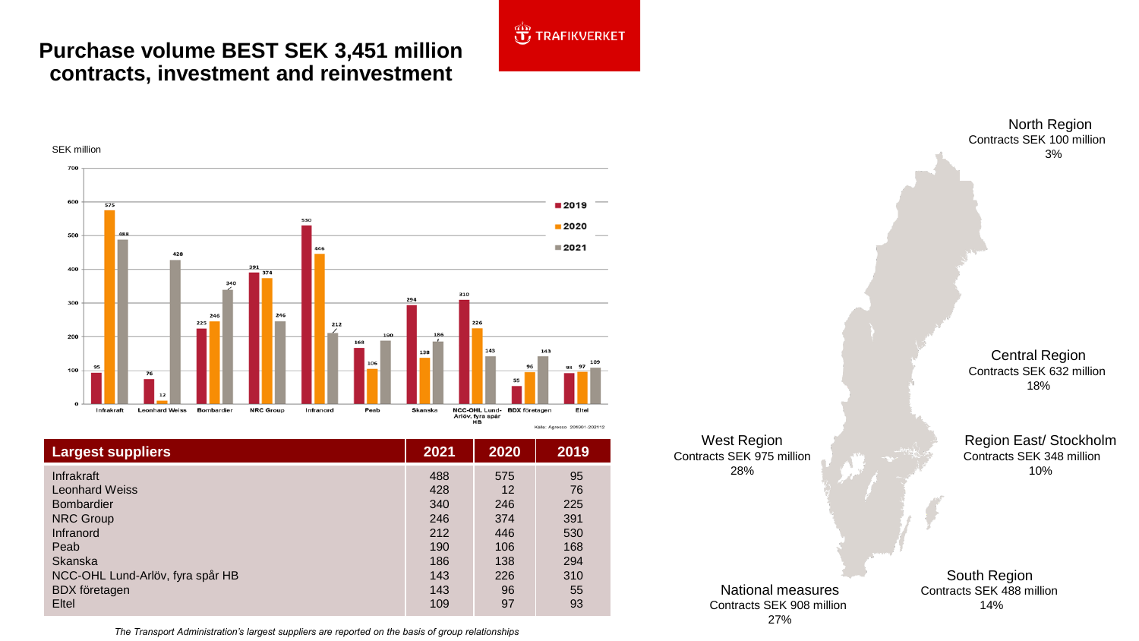## **Purchase volume BEST SEK 3,451 million contracts, investment and reinvestment**



| <b>Largest suppliers</b>         | 2021 | 2020 | 2019 |
|----------------------------------|------|------|------|
| Infrakraft                       | 488  | 575  | 95   |
| <b>Leonhard Weiss</b>            | 428  | 12   | 76   |
| <b>Bombardier</b>                | 340  | 246  | 225  |
| <b>NRC Group</b>                 | 246  | 374  | 391  |
| Infranord                        | 212  | 446  | 530  |
| Peab                             | 190  | 106  | 168  |
| <b>Skanska</b>                   | 186  | 138  | 294  |
| NCC-OHL Lund-Arlöv, fyra spår HB | 143  | 226  | 310  |
| <b>BDX</b> företagen             | 143  | 96   | 55   |
| <b>Eltel</b>                     | 109  | 97   | 93   |

*The Transport Administration's largest suppliers are reported on the basis of group relationships*

West Region Contracts SEK 975 million 28%

**JE TRAFIKVERKET** 

National measures Contracts SEK 908 million 27%

North Region Contracts SEK 100 million 3%

Central Region Contracts SEK 632 million 18%

Region East/ Stockholm Contracts SEK 348 million 10%

South Region Contracts SEK 488 million 14%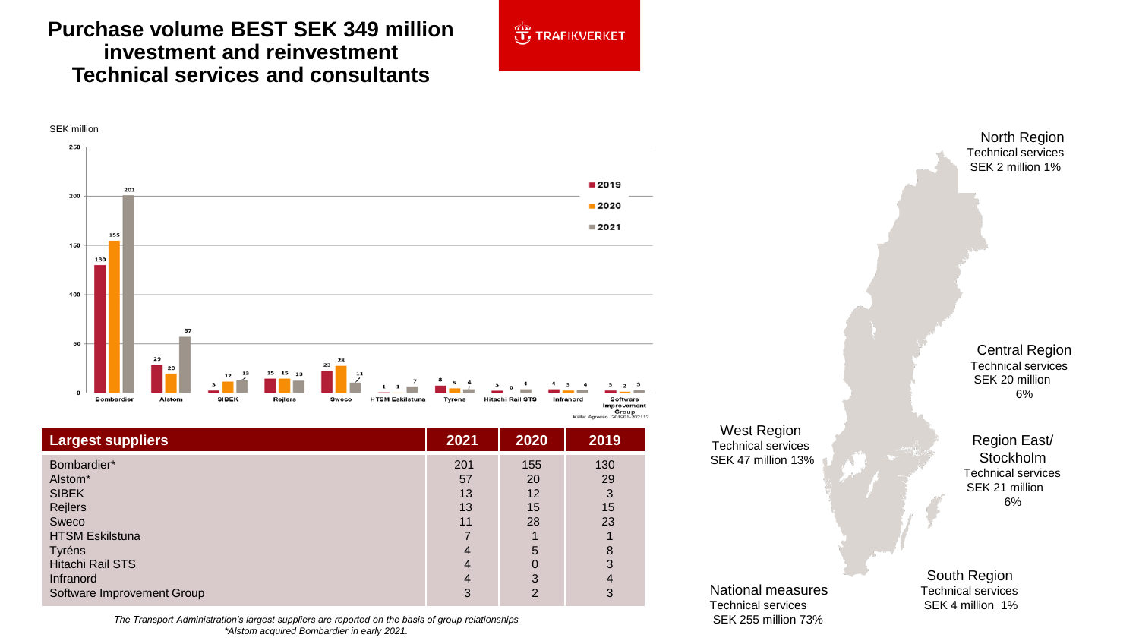## **Purchase volume BEST SEK 349 million investment and reinvestment Technical services and consultants**

Alstom\* SIBEK Rejlers Sweco

Tyréns

Software Improvement Group





**Largest suppliers 2021 2020 2019** Bombardier\* HTSM Eskilstuna Hitachi Rail STS Infranord 201 57 13 13 11 7 4 4 4 155 20 12 15 28 1 5 0 3 130 29 3 15 23 1 8 3 4

3

2

3

The Transport Administration's largest suppliers are reported on the basis of group relationships SEK 255 million 73% *\*Alstom acquired Bombardier in early 2021.*

West Region Technical services SEK 47 million 13%

North Region Technical services SEK 2 million 1%

Central Region Technical services SEK 20 million 6%

Region East/ **Stockholm** Technical services SEK 21 million 6%

National measures Technical services

South Region Technical services SEK 4 million 1%